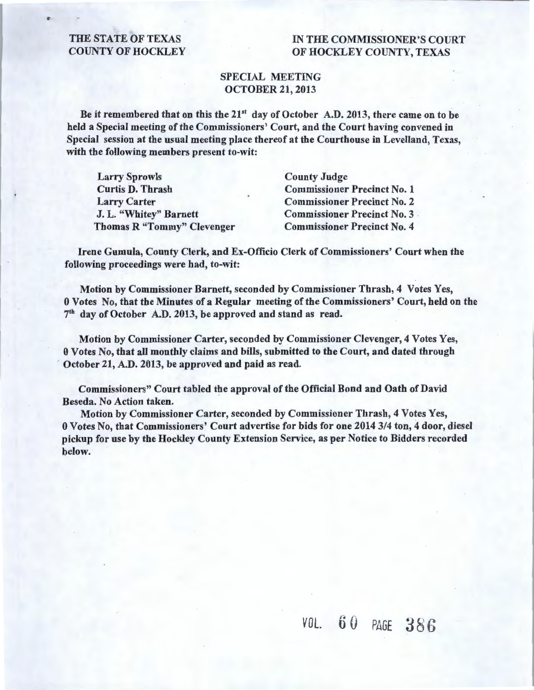#### THE STATE OF TEXAS COUNTY OF HOCKLEY

### IN THE COMMISSIONER'S COURT OF HOCKLEY COUNTY, TEXAS

#### SPECIAL MEETING OCTOBER 21, 2013

Be it remembered that on this the  $21<sup>st</sup>$  day of October A.D. 2013, there came on to be held a Special meeting of the Commissioners' Court, and the Court having convened in Special session at the usual meeting place thereof at the Courthouse in Levelland, Texas, with the following members present to-wit:

| <b>Larry Sprowls</b>              | <b>County Judge</b>                |
|-----------------------------------|------------------------------------|
| <b>Curtis D. Thrash</b>           | <b>Commissioner Precinct No. 1</b> |
| <b>Larry Carter</b>               | <b>Commissioner Precinct No. 2</b> |
| J. L. "Whitey" Barnett            | <b>Commissioner Precinct No. 3</b> |
| <b>Thomas R "Tommy" Clevenger</b> | <b>Commissioner Precinct No. 4</b> |

Irene Gumula, County Clerk, and Ex-Officio Clerk of Commissioners' Court when the following proceedings were had, to-wit:

Motion by Commissioner Barnett, seconded by Commissioner Thrash, 4 Votes Yes, 0 Votes No, that the Minutes of a Regular meeting of the Commissioners' Court, held on the 7th day of October A.D. 2013, be approved and stand as read.

Motion by Commissioner Carter, seconded by Commissioner Clevenger, 4 Votes Yes, 0 Votes No, that all monthly claims and bills, submitted to the Court, and dated through October 21, A.D. 2013, be approved and paid as read.

Commissioners" Court tabled the approval of the Official Bond and Oath of David Beseda. No Action taken.

Motion by Commissioner Carter, seconded by Commissioner Thrash, 4 Votes Yes, 0 Votes No, that Commissioners' Court advertise for bids for one 2014 3/4 ton, 4 door, diesel pickup for use by the Hockley County Extension Service, as per Notice to Bidders recorded below.

r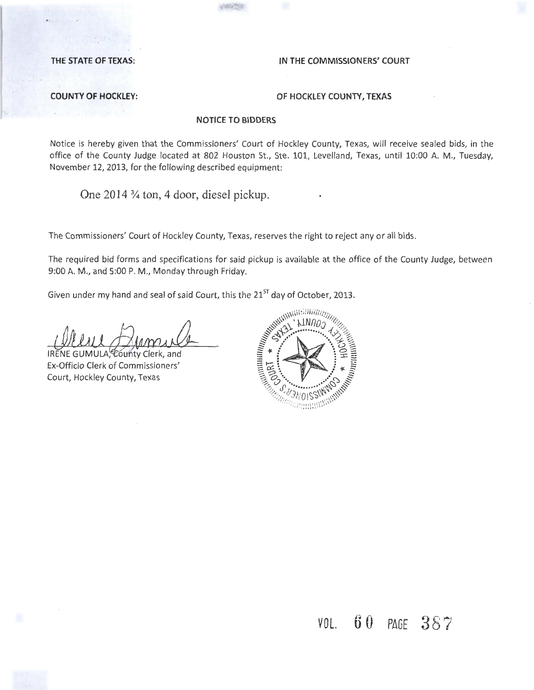#### THE STATE OF TEXAS: **IN THE COMMISSIONERS' COURT**

#### **COUNTY OF HOCKLEY: OF HOCKLEY COUNTY, TEXAS**

#### **NOTICE TO BIDDERS**

Notice is hereby given that the Commissioners' Court of Hockley County, Texas, will receive sealed bids, in the office of the County Judge located at 802 Houston St., Ste. 101, Levelland, Texas, until 10:00 A. M., Tuesday, November 12, 2013, for the following described equipment:

One 2014 % ton, 4 door, diesel pickup.

The Commissioners' Court of Hockley County, Texas, reserves the right to reject any or all bids.

The required bid forms and specifications for said pickup is available at the office of the County Judge, between

Given under my hand and seal of said Court, this the  $21^{ST}$  day of October, 2013.

*Ecunty Clerk*, and Ex-Officio Clerk of Commissioners' Court, Hockley County, Texas



VOL. **6 0** PAGE **3** 8 7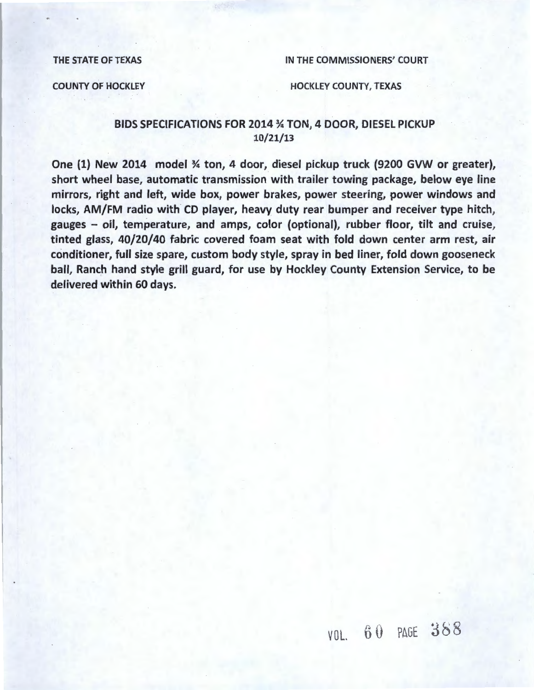THE STATE OF TEXAS **IN THE COMMISSIONERS' COURT** 

#### COUNTY OF HOCKLEY **EXAMPLE AND RESERVE HOCKLEY COUNTY, TEXAS**

#### BIDS SPECIFICATIONS FOR 2014 % TON, 4 DOOR, DIESEL PICKUP 10/21/13

One (1) New 2014 model % ton, 4 door, diesel pickup truck (9200 GVW or greater}, short wheel base, automatic transmission with trailer towing package, below eye line mirrors, right and left, wide box, power brakes, power steering, power windows and locks, AM/FM radio with CD player, heavy duty rear bumper and receiver type hitch, gauges - oil, temperature, and amps, color (optional}, rubber floor, tilt and cruise, tinted glass, 40/20/40 fabric covered foam seat with fold down center arm rest, air conditioner, full size spare, custom body style, spray in bed liner, fold down gooseneck ball, Ranch hand style grill guard, for use by Hockley County Extension Service, to be delivered within 60 days.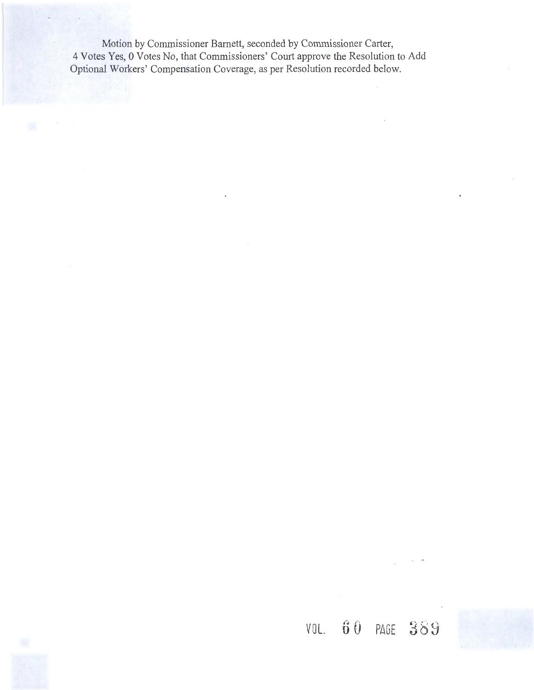Motion by Commissioner Barnett, seconded by Commissioner Carter, 4 Votes Yes, 0 Votes No, that Commissioners' Court approve the Resolution to Add Optional Workers' Compensation Coverage, as per Resolution recorded below.

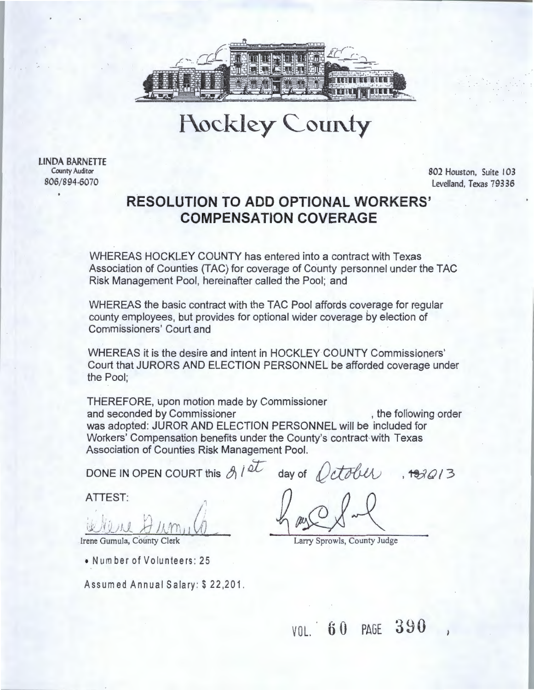

# Hockley County

LINDA BARNETTE County Auditor 806/894-6070

802 Houston, Suite 103 Levelland, Texas 79336

## **RESOLUTION TO ADD OPTIONAL WORKERS' COMPENSATION COVERAGE**

WHEREAS HOCKLEY COUNTY has entered into a contract with Texas Association of Counties (TAC) for coverage of County personnel under the TAC Risk Management Pool, hereinafter called the Pool; and

WHEREAS the basic contract with the TAC Pool affords coverage for regular county employees, but provides for optional wider coverage *by* election of Commissioners' Court and

WHEREAS it is the desire and intent in HOCKLEY COUNTY Commissioners' Court that JURORS AND ELECTION PERSONNEL be afforded coverage under the Pool;

THEREFORE, upon motion made by Commissioner and seconded by Commissioner and seconded by Commissioner and seconded by Commissioner and second and second structure order was adopted: JUROR AND ELECTION PERSONNEL will be included for Workers' Compensation benefits under the County's contract with Texas Association of Counties Risk Management Pool.

DONE IN OPEN COURT this  $g/dt$  day of  $Qctoluv$ ,  $493013$ 

ATTEST:

Irene Gumula, County Clerk

•Number of Volunteers: 25

Assumed Annual Salary: \$22,201.

 $h$  as  $Q$  of  $-1$ 

Larry Sprowls, County Judge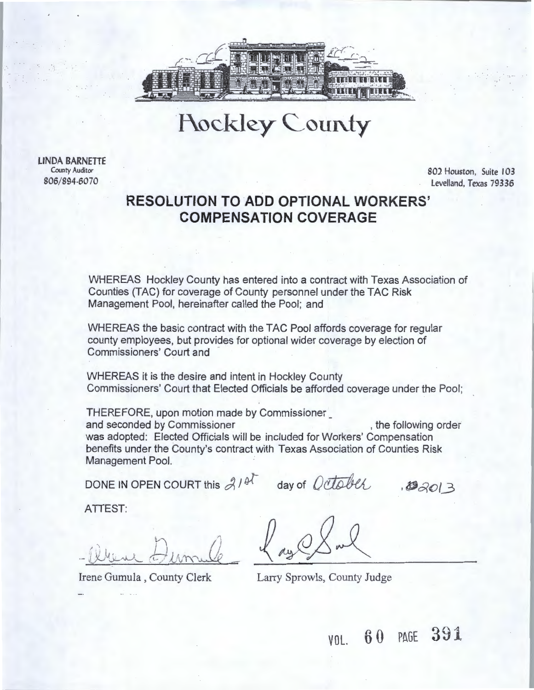

**Hockley County** 

LINDA BARNETTE County Auditor 806/894-6070

802 Houston, Suite 103 Levelland, Texas 79336

## **RESOLUTION TO ADD OPTIONAL WORKERS' COMPENSATION COVERAGE**

WHEREAS Hockley County has entered into a contract with Texas Association of Counties (TAC) for coverage of County personnel under the TAC Risk Management Pool, hereinafter called the Pool; and

WHEREAS the basic contract with the TAC Pool affords coverage for regular county employees, but provides for optional wider coverage by election of Commissioners' Court and

WHEREAS it is the desire and intent in Hockley County Commissioners' Court that Elected Officials be afforded coverage under the Pool;

THEREFORE, upon motion made by Commissioner\_ and seconded by Commissioner , the following order was adopted: Elected Officials will be included for Workers' Compensation benefits under the County's contract with Texas Association of Counties Risk Management Pool.

DONE IN OPEN COURT this  $21$ <sup>et</sup> day of *October*,  $32013$ 

ATTEST:

 $\bigwedge$  $\mathbf{D}$  $-1$ J / V*,\_* ' *)-\_/'JJ.* ' \_ "  $\theta$ lime

Irene Gumula , County Clerk Larry Sprowls, County Judge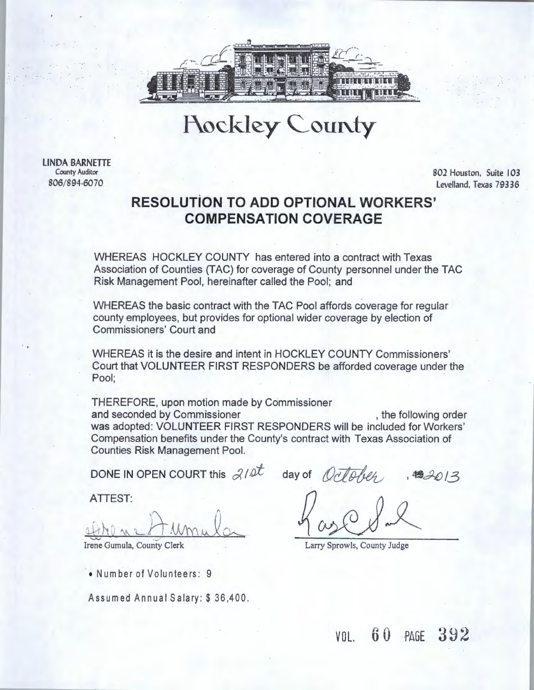

# **Hockley County**

LINDA BARNETTE County Auditor 806/894-6070

802 Houston, Suite 103 Levelland, Texas 79336

### **RESOLUTiON TO ADD OPTIONAL WORKERS' COMPENSATION COVERAGE**

WHEREAS HOCKLEY COUNTY has entered into a contract with Texas Association of Counties (TAC) for coverage of County personnel under the TAC Risk Management Pool, hereinafter called the Pool; and

WHEREAS the basic contract with the TAC Pool affords coverage for regular county employees, but provides for optional wider coverage by election of Commissioners' Court and

WHEREAS it is the desire and intent in HOCKLEY COUNTY Commissioners' Court that VOLUNTEER FIRST RESPONDERS be afforded coverage under the Pool; ·

THEREFORE, upon motion made by Commissioner and seconded by Commissioner , the following order was adopted: VOLUNTEER FIRST RESPONDERS will be included for Workers' Compensation benefits under the County's contract with Texas Association of Counties Risk Management Pool.

DONE IN OPEN COURT this  $210^{\circ}$  day of  $Q\bar{Q}$ folg,  $3482013$ 

ATTEST:

 $D \times N$  $41 N V$  an

Irene Gumula, County Clerk

• Number of Volunteers: 9

Assumed Annual Salary: \$36,400.

Larry Sprowls, County Judge

 $V0L$  60  $PAGE$  392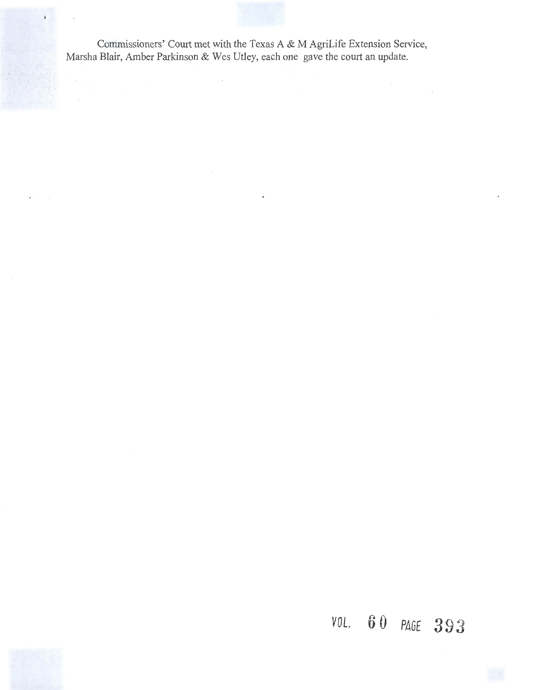Commissioners' Court met with the Texas A & M AgriLife Extension Service, Marsha Blair, Amber Parkinson & Wes Utley, each one gave the court an update.

# *<sup>V</sup>***0 l. 6 0 PAGE 3 9** 3